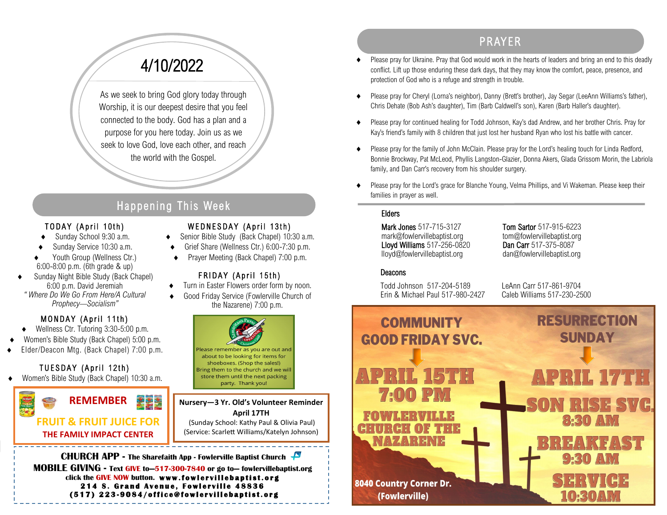# 4/10/2022

As we seek to bring God glory today through Worship, it is our deepest desire that you feel connected to the body. God has a plan and a purpose for you here today. Join us as we seek to love God, love each other, and reach the world with the Gospel.

## Happening This Week

#### TODAY (April 10th)

- Sunday School 9:30 a.m.
- Sunday Service 10:30 a.m.
- Youth Group (Wellness Ctr.) 6:00-8:00 p.m. (6th grade & up)
- Sunday Night Bible Study (Back Chapel) 6:00 p.m. David Jeremiah *" Where Do We Go From Here/A Cultural Prophecy—Socialism"*

#### MONDAY (April 11th)

- Wellness Ctr. Tutoring 3:30-5:00 p.m.
- Women's Bible Study (Back Chapel) 5:00 p.m.
- Elder/Deacon Mtg. (Back Chapel) 7:00 p.m.

### TUESDAY (April 12th)

Women's Bible Study (Back Chapel) 10:30 a.m.



#### WEDNESDAY (April 13th)

- ◆ Senior Bible Study (Back Chapel) 10:30 a.m.
- Grief Share (Wellness Ctr.) 6:00-7:30 p.m.
- ◆ Prayer Meeting (Back Chapel) 7:00 p.m.

#### FRIDAY (April 15th)

- $\bullet$  Turn in Easter Flowers order form by noon.
	- Good Friday Service (Fowlerville Church of the Nazarene) 7:00 p.m.



**Nursery—3 Yr. Old's Volunteer Reminder April 17TH** (Sunday School: Kathy Paul & Olivia Paul) (Service: Scarlett Williams/Katelyn Johnson)

**CHURCH APP - The Sharefaith App - Fowlerville Baptist Church MOBILE GIVING - Text GIVE to—517-300-7840 or go to— fowlervillebaptist.org** click the GIVE NOW button. www.fowlervillebaptist.org **214 S. Grand Avenue, Fowlerville 48836 ( 5 1 7 ) 2 2 3 - 9 0 8 4 / o f f i c e @ f o w l e r v i l l e b a p t i s t . o r g** 

# PR AYER

- Please pray for Ukraine. Pray that God would work in the hearts of leaders and bring an end to this deadly conflict. Lift up those enduring these dark days, that they may know the comfort, peace, presence, and protection of God who is a refuge and strength in trouble.
- Please pray for Cheryl (Lorna's neighbor), Danny (Brett's brother), Jay Segar (LeeAnn Williams's father), Chris Dehate (Bob Ash's daughter), Tim (Barb Caldwell's son), Karen (Barb Haller's daughter).
- Please pray for continued healing for Todd Johnson, Kay's dad Andrew, and her brother Chris. Pray for Kay's friend's family with 8 children that just lost her husband Ryan who lost his battle with cancer.
- Please pray for the family of John McClain. Please pray for the Lord's healing touch for Linda Redford, Bonnie Brockway, Pat McLeod, Phyllis Langston-Glazier, Donna Akers, Glada Grissom Morin, the Labriola family, and Dan Carr's recovery from his shoulder surgery.
- Please pray for the Lord's grace for Blanche Young, Velma Phillips, and Vi Wakeman. Please keep their families in prayer as well.

#### Elders

Mark Jones 517-715-3127 Tom Sartor 517-915-6223 mark@fowlervillebaptist.org tom@fowlervillebaptist.org<br> **Lloyd Williams** 517-256-0820 **Dan Carr** 517-375-8087 **Lloyd Williams**  $517 - 256 - 0820$ lloyd@fowlervillebaptist.org dan@fowlervillebaptist.org

#### Deacons

Todd Johnson 517-204-5189 LeAnn Carr 517-861-9704 Frin & Michael Paul 517-980-2427